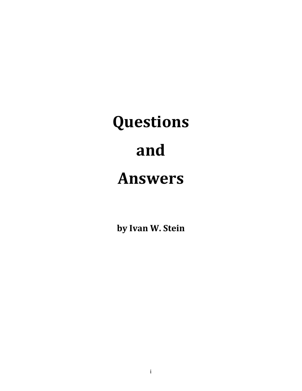# **Questions and Answers**

**by Ivan W. Stein**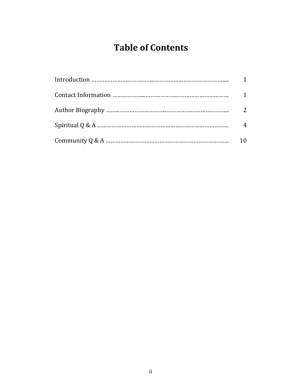## **Table of Contents**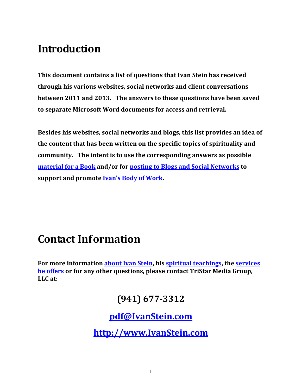## <span id="page-2-0"></span>**Introduction**

**This document contains a list of questions that Ivan Stein has received through his various websites, social networks and client conversations between 2011 and 2013. The answers to these questions have been saved to separate Microsoft Word documents for access and retrieval.**

**Besides his websites, social networks and blogs, this list provides an idea of the content that has been written on the specific topics of spirituality and community. The intent is to use the corresponding answers as possible [material](http://www.ivanstein.com/body-of-work/books.html) for a Book and/or for posting to Blogs and Social [Networks](http://www.ivanstein.com/body-of-work/multimedia.html) to support and promote Ivan's Body of [Work.](http://www.ivanstein.com/body-of-work.html)**

## **Contact Information**

**For more information [about](http://www.ivanstein.com/biography/introduction.html) Ivan Stein, his spiritual [teachings,](http://www.ivanstein.com/services/self-realization.html) the [services](http://www.ivanstein.com/services.html) he [offers](http://www.ivanstein.com/services.html) or for any other questions, please contact TriStar Media Group, LLC at:**

### **(941) 6773312**

#### **[pdf@IvanStein.com](mailto:pdf@IvanStein.com)**

**[http://www.IvanStein.com](http://www.ivanstein.com)**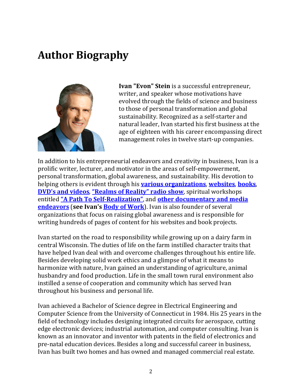## <span id="page-3-0"></span>**Author Biography**



**Ivan "Evon" Stein** is a successful entrepreneur, writer, and speaker whose motivations have evolved through the fields of science and business to those of personal transformation and global sustainability. Recognized as a self‐starter and natural leader, Ivan started his first business at the age of eighteen with his career encompassing direct management roles in twelve start‐up companies.

In addition to his entrepreneurial endeavors and creativity in business, Ivan is a prolific writer, lecturer, and motivator in the areas of self‐empowerment, personal transformation, global awareness, and sustainability. His devotion to helping others is evident through his **various [organizations](http://www.ivanstein.com/projects)**, **[websites](http://www.ivanstein.com/body-of-work/websites)**, **[books](http://www.ivanstein.com/body-of-work/books)**, **DVD's and [videos](http://www.ivanstein.com/store/product/33-path-to-self-dvd.html)**, **["Realms](http://www.ivanstein.com/projects/radio-show.html) of Reality" radio show**, spiritual workshops entitled **"A Path To Self[Realization"](http://www.ivanstein.com/services/seminars.html)**, and **other [documentary](http://www.ivanstein.com/body-of-work/multimedia) and media [endeavors](http://www.ivanstein.com/body-of-work/multimedia)** (**see [Ivan's](http://www.ivanstein.com/body-of-work) Body of Work**). Ivan is also founder of several organizations that focus on raising global awareness and is responsible for writing hundreds of pages of content for his websites and book projects.

Ivan started on the road to responsibility while growing up on a dairy farm in central Wisconsin. The duties of life on the farm instilled character traits that have helped Ivan deal with and overcome challenges throughout his entire life. Besides developing solid work ethics and a glimpse of what it means to harmonize with nature, Ivan gained an understanding of agriculture, animal husbandry and food production. Life in the small town rural environment also instilled a sense of cooperation and community which has served Ivan throughout his business and personal life.

Ivan achieved a Bachelor of Science degree in Electrical Engineering and Computer Science from the University of Connecticut in 1984. His 25 years in the field of technology includes designing integrated circuits for aerospace, cutting edge electronic devices; industrial automation, and computer consulting. Ivan is known as an innovator and inventor with patents in the field of electronics and pre‐natal education devices. Besides a long and successful career in business, Ivan has built two homes and has owned and managed commercial real estate.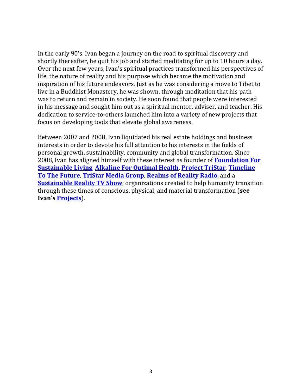In the early 90's, Ivan began a journey on the road to spiritual discovery and shortly thereafter, he quit his job and started meditating for up to 10 hours a day. Over the next few years, Ivan's spiritual practices transformed his perspectives of life, the nature of reality and his purpose which became the motivation and inspiration of his future endeavors. Just as he was considering a move to Tibet to live in a Buddhist Monastery, he was shown, through meditation that his path was to return and remain in society. He soon found that people were interested in his message and sought him out as a spiritual mentor, adviser, and teacher. His dedication to service‐to‐others launched him into a variety of new projects that focus on developing tools that elevate global awareness.

Between 2007 and 2008, Ivan liquidated his real estate holdings and business interests in order to devote his full attention to his interests in the fields of personal growth, sustainability, community and global transformation. Since 2008, Ivan has aligned himself with these interest as founder of **[Foundation](http://www.ivanstein.com/projects/sustainable-foundation.html) For [Sustainable](http://www.ivanstein.com/projects/sustainable-foundation.html) Living**, **[Alkaline](http://www.ivanstein.com/projects/optimal-health.html) For Optimal Health**, **[Project](http://www.ivanstein.com/projects/project-tristar.html) TriStar**, **[Timeline](http://www.ivanstein.com/projects/future-timeline.html) To The [Future](http://www.ivanstein.com/projects/future-timeline.html)**, **[TriStar](http://www.ivanstein.com/projects/books-multimedia.html) Media Group**, **[Realms](http://www.ivanstein.com/projects/radio-show.html) of Reality Radio**, and a **[Sustainable](http://www.ivanstein.com/projects/reality-tv.html) Reality TV Show**; organizations created to help humanity transition through these times of conscious, physical, and material transformation (**see Ivan's [Projects](http://www.ivanstein.com/projects.html)**).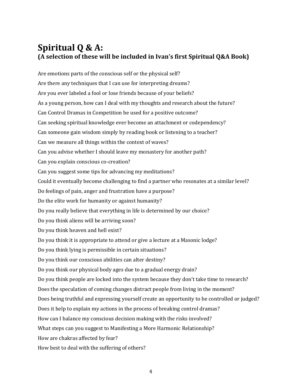#### <span id="page-5-0"></span>**Spiritual Q & A: (A selection of these will be included in Ivan's first Spiritual Q&A Book)**

Are emotions parts of the conscious self or the physical self? Are there any techniques that I can use for interpreting dreams? Are you ever labeled a fool or lose friends because of your beliefs? As a young person, how can I deal with my thoughts and research about the future? Can Control Dramas in Competition be used for a positive outcome? Can seeking spiritual knowledge ever become an attachment or codependency? Can someone gain wisdom simply by reading book or listening to a teacher? Can we measure all things within the context of waves? Can you advise whether I should leave my monastery for another path? Can you explain conscious co‐creation? Can you suggest some tips for advancing my meditations? Could it eventually become challenging to find a partner who resonates at a similar level? Do feelings of pain, anger and frustration have a purpose? Do the elite work for humanity or against humanity? Do you really believe that everything in life is determined by our choice? Do you think aliens will be arriving soon? Do you think heaven and hell exist? Do you think it is appropriate to attend or give a lecture at a Masonic lodge? Do you think lying is permissible in certain situations? Do you think our conscious abilities can alter destiny? Do you think our physical body ages due to a gradual energy drain? Do you think people are locked into the system because they don't take time to research? Does the speculation of coming changes distract people from living in the moment? Does being truthful and expressing yourself create an opportunity to be controlled or judged? Does it help to explain my actions in the process of breaking control dramas? How can I balance my conscious decision making with the risks involved? What steps can you suggest to Manifesting a More Harmonic Relationship? How are chakras affected by fear? How best to deal with the suffering of others?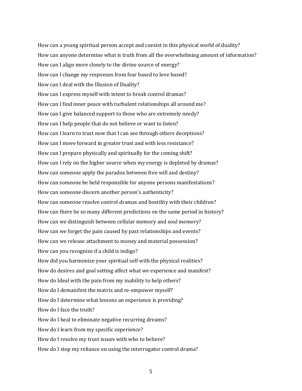How can a young spiritual person accept and coexist in this physical world of duality? How can anyone determine what is truth from all the overwhelming amount of information? How can I align more closely to the divine source of energy? How can I change my responses from fear based to love based? How can I deal with the Illusion of Duality? How can I express myself with intent to break control dramas? How can I find inner peace with turbulent relationships all around me? How can I give balanced support to those who are extremely needy? How can I help people that do not believe or want to listen? How can I learn to trust now that I can see through others deceptions? How can I move forward in greater trust and with less resistance? How can I prepare physically and spiritually for the coming shift? How can I rely on the higher source when my energy is depleted by dramas? How can someone apply the paradox between free will and destiny? How can someone be held responsible for anyone persons manifestations? How can someone discern another person's authenticity? How can someone resolve control dramas and hostility with their children? How can there be so many different predictions on the same period in history? How can we distinguish between cellular memory and soul memory? How can we forget the pain caused by past relationships and events? How can we release attachment to money and material possession? How can you recognize if a child is indigo? How did you harmonize your spiritual self with the physical realities? How do desires and goal setting affect what we experience and manifest? How do Ideal with the pain from my inability to help others? How do I demanifest the matrix and re-empower myself? How do I determine what lessons an experience is providing? How do I face the truth? How do I heal to eliminate negative recurring dreams? How do I learn from my specific experience? How do I resolve my trust issues with who to believe? How do I stop my reliance on using the interrogator control drama?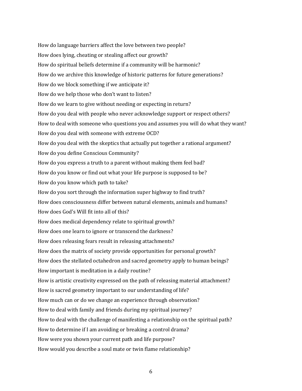How do language barriers affect the love between two people? How does lying, cheating or stealing affect our growth? How do spiritual beliefs determine if a community will be harmonic? How do we archive this knowledge of historic patterns for future generations? How do we block something if we anticipate it? How do we help those who don't want to listen? How do we learn to give without needing or expecting in return? How do you deal with people who never acknowledge support or respect others? How to deal with someone who questions you and assumes you will do what they want? How do you deal with someone with extreme OCD? How do you deal with the skeptics that actually put together a rational argument? How do you define Conscious Community? How do you express a truth to a parent without making them feel bad? How do you know or find out what your life purpose is supposed to be? How do you know which path to take? How do you sort through the information super highway to find truth? How does consciousness differ between natural elements, animals and humans? How does God's Will fit into all of this? How does medical dependency relate to spiritual growth? How does one learn to ignore or transcend the darkness? How does releasing fears result in releasing attachments? How does the matrix of society provide opportunities for personal growth? How does the stellated octahedron and sacred geometry apply to human beings? How important is meditation in a daily routine? How is artistic creativity expressed on the path of releasing material attachment? How is sacred geometry important to our understanding of life? How much can or do we change an experience through observation? How to deal with family and friends during my spiritual journey? How to deal with the challenge of manifesting a relationship on the spiritual path? How to determine if I am avoiding or breaking a control drama? How were you shown your current path and life purpose? How would you describe a soul mate or twin flame relationship?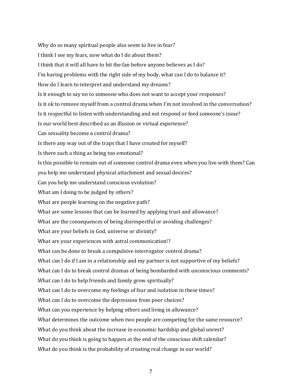Why do so many spiritual people also seem to live in fear? I think I see my fears, now what do I do about them? I think that it will all have to hit the fan before anyone believes as I do? I'm having problems with the right side of my body, what can I do to balance it? How do I learn to interpret and understand my dreams? Is it enough to say no to someone who does not want to accept your responses? Is it ok to remove myself from a control drama when I'm not involved in the conversation? Is it respectful to listen with understanding and not respond or feed someone's issue? Is our world best described as an illusion or virtual experience? Can sexuality become a control drama? Is there any way out of the traps that I have created for myself? Is there such a thing as being too emotional? Is this possible to remain out of someone control drama even when you live with them? Can you help me understand physical attachment and sexual desires? Can you help me understand conscious evolution? What am I doing to be judged by others? What are people learning on the negative path? What are some lessons that can be learned by applying trust and allowance? What are the consequences of being disrespectful or avoiding challenges? What are your beliefs in God, universe or divinity? What are your experiences with astral communication!? What can be done to break a compulsive interrogator control drama? What can I do if I am in a relationship and my partner is not supportive of my beliefs? What can I do to break control dramas of being bombarded with unconscious comments? What can I do to help friends and family grow spiritually? What can I do to overcome my feelings of fear and isolation in these times? What can I do to overcome the depression from poor choices? What can you experience by helping others and living in allowance? What determines the outcome when two people are competing for the same resource? What do you think about the increase in economic hardship and global unrest? What do you think is going to happen at the end of the conscious shift calendar? What do you think is the probability of creating real change in our world?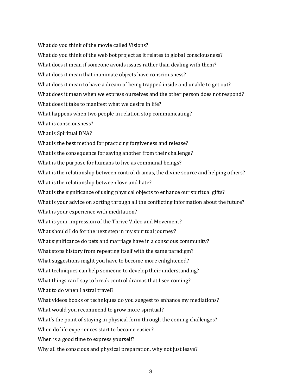What do you think of the movie called Visions? What do you think of the web bot project as it relates to global consciousness? What does it mean if someone avoids issues rather than dealing with them? What does it mean that inanimate objects have consciousness? What does it mean to have a dream of being trapped inside and unable to get out? What does it mean when we express ourselves and the other person does not respond? What does it take to manifest what we desire in life? What happens when two people in relation stop communicating? What is consciousness? What is Spiritual DNA? What is the best method for practicing forgiveness and release? What is the consequence for saving another from their challenge? What is the purpose for humans to live as communal beings? What is the relationship between control dramas, the divine source and helping others? What is the relationship between love and hate? What is the significance of using physical objects to enhance our spiritual gifts? What is your advice on sorting through all the conflicting information about the future? What is your experience with meditation? What is your impression of the Thrive Video and Movement? What should I do for the next step in my spiritual journey? What significance do pets and marriage have in a conscious community? What stops history from repeating itself with the same paradigm? What suggestions might you have to become more enlightened? What techniques can help someone to develop their understanding? What things can I say to break control dramas that I see coming? What to do when I astral travel? What videos books or techniques do you suggest to enhance my mediations? What would you recommend to grow more spiritual? What's the point of staying in physical form through the coming challenges? When do life experiences start to become easier? When is a good time to express yourself? Why all the conscious and physical preparation, why not just leave?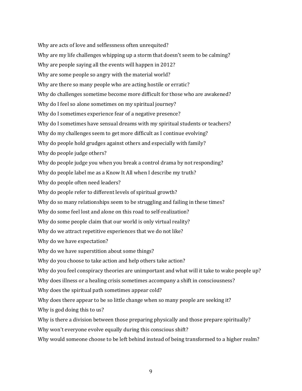Why are acts of love and selflessness often unrequited? Why are my life challenges whipping up a storm that doesn't seem to be calming? Why are people saying all the events will happen in 2012? Why are some people so angry with the material world? Why are there so many people who are acting hostile or erratic? Why do challenges sometime become more difficult for those who are awakened? Why do I feel so alone sometimes on my spiritual journey? Why do I sometimes experience fear of a negative presence? Why do I sometimes have sensual dreams with my spiritual students or teachers? Why do my challenges seem to get more difficult as I continue evolving? Why do people hold grudges against others and especially with family? Why do people judge others? Why do people judge you when you break a control drama by not responding? Why do people label me as a Know It All when I describe my truth? Why do people often need leaders? Why do people refer to different levels of spiritual growth? Why do so many relationships seem to be struggling and failing in these times? Why do some feel lost and alone on this road to self-realization? Why do some people claim that our world is only virtual reality? Why do we attract repetitive experiences that we do not like? Why do we have expectation? Why do we have superstition about some things? Why do you choose to take action and help others take action? Why do you feel conspiracy theories are unimportant and what will it take to wake people up? Why does illness or a healing crisis sometimes accompany a shift in consciousness? Why does the spiritual path sometimes appear cold? Why does there appear to be so little change when so many people are seeking it? Why is god doing this to us? Why is there a division between those preparing physically and those prepare spiritually? Why won't everyone evolve equally during this conscious shift? Why would someone choose to be left behind instead of being transformed to a higher realm?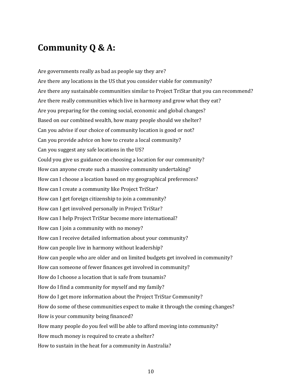#### <span id="page-11-0"></span>**Community Q & A:**

Are governments really as bad as people say they are? Are there any locations in the US that you consider viable for community? Are there any sustainable communities similar to Project TriStar that you can recommend? Are there really communities which live in harmony and grow what they eat? Are you preparing for the coming social, economic and global changes? Based on our combined wealth, how many people should we shelter? Can you advise if our choice of community location is good or not? Can you provide advice on how to create a local community? Can you suggest any safe locations in the US? Could you give us guidance on choosing a location for our community? How can anyone create such a massive community undertaking? How can I choose a location based on my geographical preferences? How can I create a community like Project TriStar? How can I get foreign citizenship to join a community? How can I get involved personally in Project TriStar? How can I help Project TriStar become more international? How can I join a community with no money? How can I receive detailed information about your community? How can people live in harmony without leadership? How can people who are older and on limited budgets get involved in community? How can someone of fewer finances get involved in community? How do I choose a location that is safe from tsunamis? How do I find a community for myself and my family? How do I get more information about the Project TriStar Community? How do some of these communities expect to make it through the coming changes? How is your community being financed? How many people do you feel will be able to afford moving into community? How much money is required to create a shelter? How to sustain in the heat for a community in Australia?